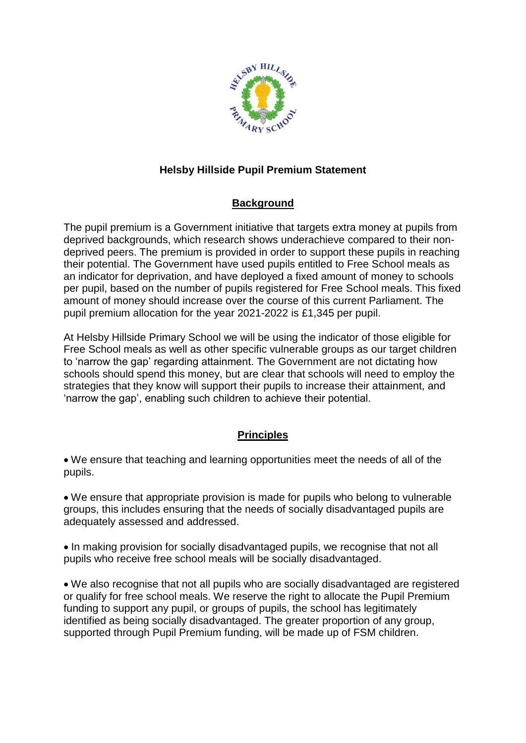

# **Helsby Hillside Pupil Premium Statement**

## **Background**

The pupil premium is a Government initiative that targets extra money at pupils from deprived backgrounds, which research shows underachieve compared to their nondeprived peers. The premium is provided in order to support these pupils in reaching their potential. The Government have used pupils entitled to Free School meals as an indicator for deprivation, and have deployed a fixed amount of money to schools per pupil, based on the number of pupils registered for Free School meals. This fixed amount of money should increase over the course of this current Parliament. The pupil premium allocation for the year 2021-2022 is £1,345 per pupil.

At Helsby Hillside Primary School we will be using the indicator of those eligible for Free School meals as well as other specific vulnerable groups as our target children to 'narrow the gap' regarding attainment. The Government are not dictating how schools should spend this money, but are clear that schools will need to employ the strategies that they know will support their pupils to increase their attainment, and 'narrow the gap', enabling such children to achieve their potential.

### **Principles**

 We ensure that teaching and learning opportunities meet the needs of all of the pupils.

 We ensure that appropriate provision is made for pupils who belong to vulnerable groups, this includes ensuring that the needs of socially disadvantaged pupils are adequately assessed and addressed.

• In making provision for socially disadvantaged pupils, we recognise that not all pupils who receive free school meals will be socially disadvantaged.

 We also recognise that not all pupils who are socially disadvantaged are registered or qualify for free school meals. We reserve the right to allocate the Pupil Premium funding to support any pupil, or groups of pupils, the school has legitimately identified as being socially disadvantaged. The greater proportion of any group, supported through Pupil Premium funding, will be made up of FSM children.